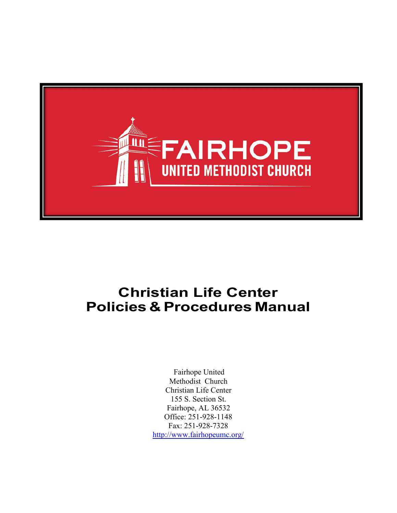

# **Christian Life Center Policies & Procedures Manual**

Fairhope United Methodist Church Christian Life Center 155 S. Section St. Fairhope, AL 36532 Office: 251-928-1148 Fax: 251-928-7328 <http://www.fairhopeumc.org/>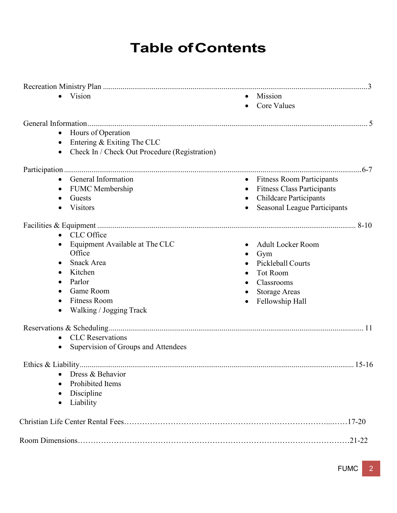# **Table ofContents**

| Vision<br>$\bullet$                                        | • Mission<br><b>Core Values</b>                |
|------------------------------------------------------------|------------------------------------------------|
|                                                            |                                                |
| Hours of Operation<br>$\bullet$                            |                                                |
| Entering & Exiting The CLC<br>$\bullet$                    |                                                |
| Check In / Check Out Procedure (Registration)<br>$\bullet$ |                                                |
|                                                            |                                                |
| General Information<br>$\bullet$                           | <b>Fitness Room Participants</b><br>$\bullet$  |
| FUMC Membership<br>$\bullet$                               | <b>Fitness Class Participants</b><br>$\bullet$ |
| Guests<br>$\bullet$                                        | <b>Childcare Participants</b>                  |
| <b>Visitors</b>                                            | <b>Seasonal League Participants</b>            |
|                                                            |                                                |
| CLC Office<br>$\bullet$                                    |                                                |
| Equipment Available at The CLC<br>$\bullet$                | <b>Adult Locker Room</b><br>$\bullet$          |
| Office                                                     | Gym                                            |
| <b>Snack Area</b><br>٠                                     | Pickleball Courts                              |
| Kitchen<br>$\bullet$                                       | <b>Tot Room</b>                                |
| Parlor<br>$\bullet$                                        | Classrooms                                     |
| Game Room<br>$\bullet$                                     | <b>Storage Areas</b>                           |
| <b>Fitness Room</b><br>$\bullet$                           | Fellowship Hall                                |
| Walking / Jogging Track                                    |                                                |
|                                                            |                                                |
| <b>CLC</b> Reservations<br>$\bullet$                       |                                                |
| Supervision of Groups and Attendees<br>$\bullet$           |                                                |
|                                                            |                                                |
| Dress & Behavior                                           |                                                |
| Prohibited Items                                           |                                                |
| Discipline                                                 |                                                |
| Liability<br>$\bullet$                                     |                                                |
|                                                            |                                                |
|                                                            |                                                |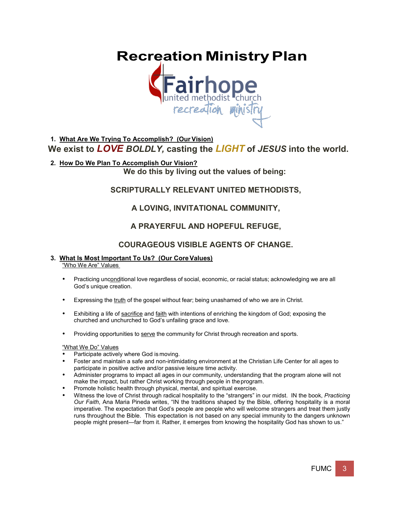

**1. What Are We Trying To Accomplish? (OurVision) We exist to** *LOVE BOLDLY,* **casting the** *LIGHT* **of** *JESUS* **into the world.**

**2. How Do We Plan To Accomplish Our Vision? We do this by living out the values of being:**

## **SCRIPTURALLY RELEVANT UNITED METHODISTS,**

## **A LOVING, INVITATIONAL COMMUNITY,**

## **A PRAYERFUL AND HOPEFUL REFUGE,**

## **COURAGEOUS VISIBLE AGENTS OF CHANGE.**

## **3. What Is Most Important To Us? (Our CoreValues)**

"Who We Are" Values

- Practicing unconditional love regardless of social, economic, or racial status; acknowledging we are all God's unique creation.
- Expressing the truth of the gospel without fear; being unashamed of who we are in Christ.
- Exhibiting a life of sacrifice and faith with intentions of enriching the kingdom of God; exposing the churched and unchurched to God's unfailing grace and love.
- Providing opportunities to serve the community for Christ through recreation and sports.

"What We Do" Values

- Participate actively where God is moving.
- Foster and maintain a safe and non-intimidating environment at the Christian Life Center for all ages to participate in positive active and/or passive leisure time activity.
- Administer programs to impact all ages in our community, understanding that the program alone will not make the impact, but rather Christ working through people in theprogram.
- Promote holistic health through physical, mental, and spiritual exercise.
- Witness the love of Christ through radical hospitality to the "strangers" in our midst. IN the book, *Practicing Our Faith*, Ana Maria Pineda writes, "IN the traditions shaped by the Bible, offering hospitality is a moral imperative. The expectation that God's people are people who will welcome strangers and treat them justly runs throughout the Bible. This expectation is not based on any special immunity to the dangers unknown people might present—far from it. Rather, it emerges from knowing the hospitality God has shown to us."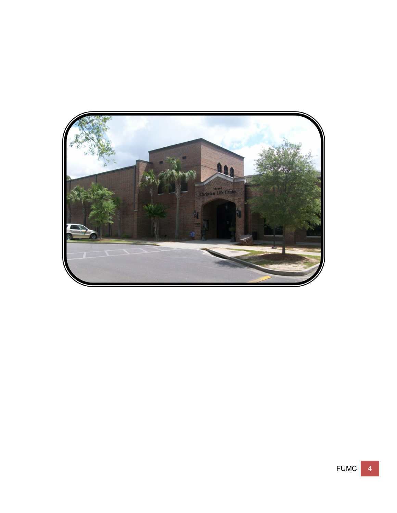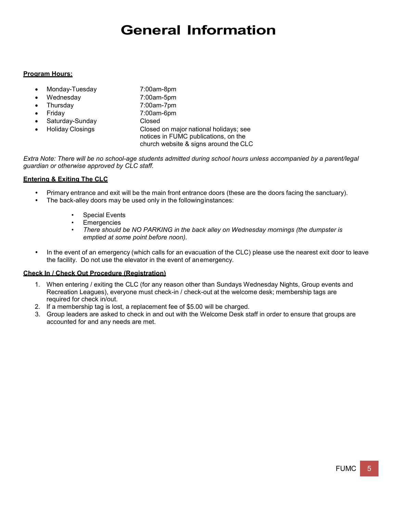# **General Information**

#### **Program Hours:**

- Monday-Tuesday 7:00am-8pm
- 
- 
- 
- Saturday-Sunday Closed
- 
- Wednesday 7:00am-5pm • Thursday 7:00am-7pm • Friday 7:00am-6pm • Holiday Closings Closed on major national holidays; see notices in FUMC publications, on the church website & signs around the CLC

*Extra Note: There will be no school-age students admitted during school hours unless accompanied by a parent/legal guardian or otherwise approved by CLC staff.*

#### **Entering & Exiting The CLC**

- Primary entrance and exit will be the main front entrance doors (these are the doors facing the sanctuary).
- The back-alley doors may be used only in the followinginstances:
	- Special Events
	- Emergencies
	- *There should be NO PARKING in the back alley on Wednesday mornings (the dumpster is emptied at some point before noon).*
- In the event of an emergency (which calls for an evacuation of the CLC) please use the nearest exit door to leave the facility. Do not use the elevator in the event of anemergency.

#### **Check In / Check Out Procedure (Registration)**

- 1. When entering / exiting the CLC (for any reason other than Sundays Wednesday Nights, Group events and Recreation Leagues), everyone must check-in / check-out at the welcome desk; membership tags are required for check in/out.
- 2. If a membership tag is lost, a replacement fee of \$5.00 will be charged.
- 3. Group leaders are asked to check in and out with the Welcome Desk staff in order to ensure that groups are accounted for and any needs are met.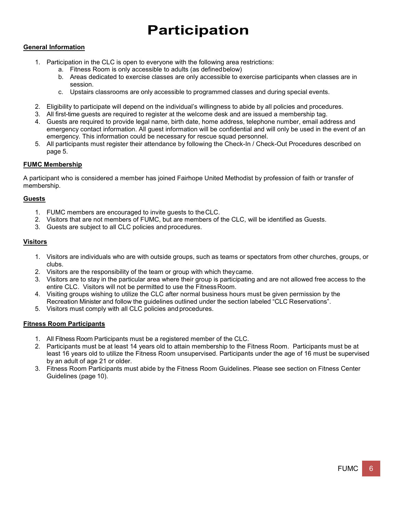# **Participation**

#### **General Information**

- 1. Participation in the CLC is open to everyone with the following area restrictions:
	- a. Fitness Room is only accessible to adults (as definedbelow)
	- b. Areas dedicated to exercise classes are only accessible to exercise participants when classes are in session.
	- c. Upstairs classrooms are only accessible to programmed classes and during special events.
- 2. Eligibility to participate will depend on the individual's willingness to abide by all policies and procedures.
- 3. All first-time guests are required to register at the welcome desk and are issued a membership tag.
- 4. Guests are required to provide legal name, birth date, home address, telephone number, email address and emergency contact information. All guest information will be confidential and will only be used in the event of an emergency. This information could be necessary for rescue squad personnel.
- 5. All participants must register their attendance by following the Check-In / Check-Out Procedures described on page 5.

### **FUMC Membership**

A participant who is considered a member has joined Fairhope United Methodist by profession of faith or transfer of membership.

### **Guests**

- 1. FUMC members are encouraged to invite guests to theCLC.
- 2. Visitors that are not members of FUMC, but are members of the CLC, will be identified as Guests.
- 3. Guests are subject to all CLC policies and procedures.

### **Visitors**

- 1. Visitors are individuals who are with outside groups, such as teams or spectators from other churches, groups, or clubs.
- 2. Visitors are the responsibility of the team or group with which theycame.
- 3. Visitors are to stay in the particular area where their group is participating and are not allowed free access to the entire CLC. Visitors will not be permitted to use the Fitness Room.
- 4. Visiting groups wishing to utilize the CLC after normal business hours must be given permission by the Recreation Minister and follow the guidelines outlined under the section labeled "CLC Reservations".
- 5. Visitors must comply with all CLC policies and procedures.

### **Fitness Room Participants**

- 1. All Fitness Room Participants must be a registered member of the CLC.
- 2. Participants must be at least 14 years old to attain membership to the Fitness Room. Participants must be at least 16 years old to utilize the Fitness Room unsupervised. Participants under the age of 16 must be supervised by an adult of age 21 or older.
- 3. Fitness Room Participants must abide by the Fitness Room Guidelines. Please see section on Fitness Center Guidelines (page 10).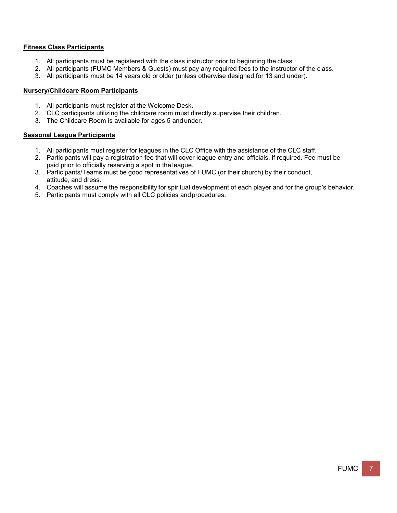#### **Fitness Class Participants**

- 1. All participants must be registered with the class instructor prior to beginning the class.
- 2. All participants (FUMC Members & Guests) must pay any required fees to the instructor of the class.
- 3. All participants must be 14 years old or older (unless otherwise designed for 13 and under).

#### **Nursery/Childcare Room Participants**

- 1. All participants must register at the Welcome Desk.
- 2. CLC participants utilizing the childcare room must directly supervise their children.
- 3. The Childcare Room is available for ages 5 and under.

#### **Seasonal League Participants**

- 1. All participants must register for leagues in the CLC Office with the assistance of the CLC staff.
- 2. Participants will pay a registration fee that will cover league entry and officials, if required. Fee must be paid prior to officially reserving a spot in the league.
- 3. Participants/Teams must be good representatives of FUMC (or their church) by their conduct, attitude, and dress.
- 4. Coaches will assume the responsibility for spiritual development of each player and for the group's behavior.
- 5. Participants must comply with all CLC policies andprocedures.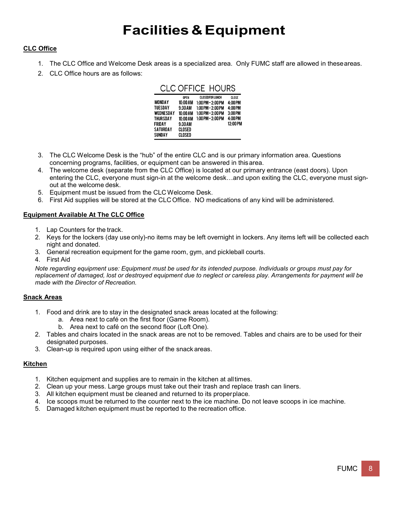# **Facilities&Equipment**

#### **CLC Office**

- 1. The CLC Office and Welcome Desk areas is a specialized area. Only FUMC staff are allowed in theseareas.
- 2. CLC Office hours are as follows:

|               |             | CLC OFFICE HOURS      |            |
|---------------|-------------|-----------------------|------------|
|               | <b>OPEN</b> | <b>CLOSEDFORLUNCH</b> | CLOSE      |
| <b>MONDAY</b> | $10:00$ AM  | $1:00$ PM – $2:00$ PM | 4:00 PM    |
| TUESDAY       | $9:30$ AM   | $1:00$ PM $- 2:00$ PM | 4:00 PM    |
| WEDNESDAY     | $10:00$ AM  | $1:00$ PM $- 2:00$ PM | $3:00$ PM  |
| THURSDAY      | 10:00 AM    | $1:00$ PM $- 2:00$ PM | 4:00 PM    |
| FRIDAY        | 9:30 AM     |                       | $12:00$ PM |
| SATURDAY      | CLOSED      |                       |            |
| SUNDAY        | CLOSED      |                       |            |

- 3. The CLC Welcome Desk is the "hub" of the entire CLC and is our primary information area. Questions concerning programs, facilities, or equipment can be answered in thisarea.
- 4. The welcome desk (separate from the CLC Office) is located at our primary entrance (east doors). Upon entering the CLC, everyone must sign-in at the welcome desk…and upon exiting the CLC, everyone must signout at the welcome desk.
- 5. Equipment must be issued from the CLC Welcome Desk.
- 6. First Aid supplies will be stored at the CLC Office. NO medications of any kind will be administered.

#### **Equipment Available At The CLC Office**

- 1. Lap Counters for the track.
- 2. Keys for the lockers (day use only)-no items may be left overnight in lockers. Any items left will be collected each night and donated.
- 3. General recreation equipment for the game room, gym, and pickleball courts.
- 4. First Aid

*Note regarding equipment use: Equipment must be used for its intended purpose. Individuals or groups must pay for replacement of damaged, lost or destroyed equipment due to neglect or careless play. Arrangements for payment will be made with the Director of Recreation.*

#### **Snack Areas**

- 1. Food and drink are to stay in the designated snack areas located at the following:
	- a. Area next to café on the first floor (Game Room).
	- b. Area next to café on the second floor (Loft One).
- 2. Tables and chairs located in the snack areas are not to be removed. Tables and chairs are to be used for their designated purposes.
- 3. Clean-up is required upon using either of the snack areas.

#### **Kitchen**

- 1. Kitchen equipment and supplies are to remain in the kitchen at alltimes.
- 2. Clean up your mess. Large groups must take out their trash and replace trash can liners.
- 3. All kitchen equipment must be cleaned and returned to its properplace.
- 4. Ice scoops must be returned to the counter next to the ice machine. Do not leave scoops in ice machine.
- 5. Damaged kitchen equipment must be reported to the recreation office.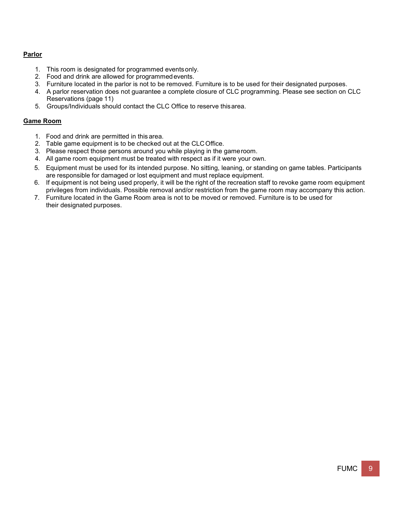#### **Parlor**

- 1. This room is designated for programmed eventsonly.
- 2. Food and drink are allowed for programmedevents.
- 3. Furniture located in the parlor is not to be removed. Furniture is to be used for their designated purposes.
- 4. A parlor reservation does not guarantee a complete closure of CLC programming. Please see section on CLC Reservations (page 11)
- 5. Groups/Individuals should contact the CLC Office to reserve thisarea.

#### **Game Room**

- 1. Food and drink are permitted in this area.
- 2. Table game equipment is to be checked out at the CLCOffice.
- 3. Please respect those persons around you while playing in the gameroom.
- 4. All game room equipment must be treated with respect as if it were your own.
- 5. Equipment must be used for its intended purpose. No sitting, leaning, or standing on game tables. Participants are responsible for damaged or lost equipment and must replace equipment.
- 6. If equipment is not being used properly, it will be the right of the recreation staff to revoke game room equipment privileges from individuals. Possible removal and/or restriction from the game room may accompany this action.
- 7. Furniture located in the Game Room area is not to be moved or removed. Furniture is to be used for their designated purposes.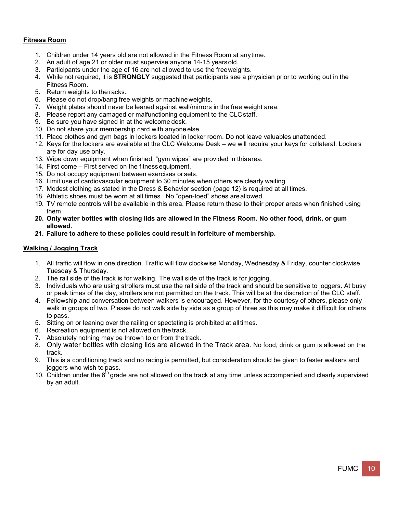#### **Fitness Room**

- 1. Children under 14 years old are not allowed in the Fitness Room at anytime.
- 2. An adult of age 21 or older must supervise anyone 14-15 yearsold.
- 3. Participants under the age of 16 are not allowed to use the freeweights.
- 4. While not required, it is **STRONGLY** suggested that participants see a physician prior to working out in the Fitness Room.
- 5. Return weights to the racks.
- 6. Please do not drop/bang free weights or machineweights.
- 7. Weight plates should never be leaned against wall/mirrors in the free weight area.
- 8. Please report any damaged or malfunctioning equipment to the CLCstaff.
- 9. Be sure you have signed in at the welcome desk.
- 10. Do not share your membership card with anyone else.
- 11. Place clothes and gym bags in lockers located in locker room. Do not leave valuables unattended.
- 12. Keys for the lockers are available at the CLC Welcome Desk we will require your keys for collateral. Lockers are for day use only.
- 13. Wipe down equipment when finished, "gym wipes" are provided in thisarea.
- 14. First come First served on the fitnessequipment.
- 15. Do not occupy equipment between exercises or sets.
- 16. Limit use of cardiovascular equipment to 30 minutes when others are clearly waiting.
- 17. Modest clothing as stated in the Dress & Behavior section (page 12) is required at all times.
- 18. Athletic shoes must be worn at all times. No "open-toed" shoes areallowed.
- 19. TV remote controls will be available in this area. Please return these to their proper areas when finished using them.
- **20. Only water bottles with closing lids are allowed in the Fitness Room. No other food, drink, or gum allowed.**
- **21. Failure to adhere to these policies could result in forfeiture of membership.**

#### **Walking / Jogging Track**

- 1. All traffic will flow in one direction. Traffic will flow clockwise Monday, Wednesday & Friday, counter clockwise Tuesday & Thursday.
- 2. The rail side of the track is for walking. The wall side of the track is for jogging.
- 3. Individuals who are using strollers must use the rail side of the track and should be sensitive to joggers. At busy or peak times of the day, strollers are not permitted on the track. This will be at the discretion of the CLC staff.
- 4. Fellowship and conversation between walkers is encouraged. However, for the courtesy of others, please only walk in groups of two. Please do not walk side by side as a group of three as this may make it difficult for others to pass.
- 5. Sitting on or leaning over the railing or spectating is prohibited at alltimes.
- 6. Recreation equipment is not allowed on the track.
- 7. Absolutely nothing may be thrown to or from the track.
- 8. Only water bottles with closing lids are allowed in the Track area. No food, drink or gum is allowed on the track.
- 9. This is a conditioning track and no racing is permitted, but consideration should be given to faster walkers and joggers who wish to pass.
- 10. Children under the  $6<sup>th</sup>$  grade are not allowed on the track at any time unless accompanied and clearly supervised by an adult.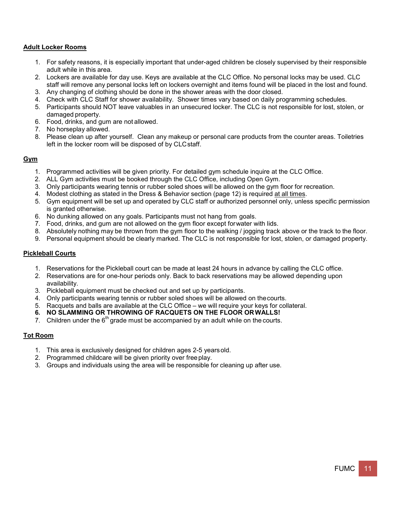#### **Adult Locker Rooms**

- 1. For safety reasons, it is especially important that under-aged children be closely supervised by their responsible adult while in this area.
- 2. Lockers are available for day use. Keys are available at the CLC Office. No personal locks may be used. CLC staff will remove any personal locks left on lockers overnight and items found will be placed in the lost and found.
- 3. Any changing of clothing should be done in the shower areas with the door closed.
- 4. Check with CLC Staff for shower availability. Shower times vary based on daily programming schedules.
- 5. Participants should NOT leave valuables in an unsecured locker. The CLC is not responsible for lost, stolen, or damaged property.
- 6. Food, drinks, and gum are not allowed.
- 7. No horseplay allowed.
- 8. Please clean up after yourself. Clean any makeup or personal care products from the counter areas. Toiletries left in the locker room will be disposed of by CLCstaff.

#### **Gym**

- 1. Programmed activities will be given priority. For detailed gym schedule inquire at the CLC Office.
- 2. ALL Gym activities must be booked through the CLC Office, including Open Gym.
- 3. Only participants wearing tennis or rubber soled shoes will be allowed on the gym floor for recreation.
- 4. Modest clothing as stated in the Dress & Behavior section (page 12) is required at all times.
- 5. Gym equipment will be set up and operated by CLC staff or authorized personnel only, unless specific permission is granted otherwise.
- 6. No dunking allowed on any goals. Participants must not hang from goals.
- 7. Food, drinks, and gum are not allowed on the gym floor except forwater with lids.
- 8. Absolutely nothing may be thrown from the gym floor to the walking / jogging track above or the track to the floor.
- 9. Personal equipment should be clearly marked. The CLC is not responsible for lost, stolen, or damaged property.

#### **Pickleball Courts**

- 1. Reservations for the Pickleball court can be made at least 24 hours in advance by calling the CLC office.
- 2. Reservations are for one-hour periods only. Back to back reservations may be allowed depending upon availability.
- 3. Pickleball equipment must be checked out and set up by participants.
- 4. Only participants wearing tennis or rubber soled shoes will be allowed on thecourts.
- 5. Racquets and balls are available at the CLC Office we will require your keys for collateral.
- **6. NO SLAMMING OR THROWING OF RACQUETS ON THE FLOOR ORWALLS!**
- 7. Children under the  $6<sup>th</sup>$  grade must be accompanied by an adult while on the courts.

#### **Tot Room**

- 1. This area is exclusively designed for children ages 2-5 yearsold.
- 2. Programmed childcare will be given priority over freeplay.
- 3. Groups and individuals using the area will be responsible for cleaning up after use.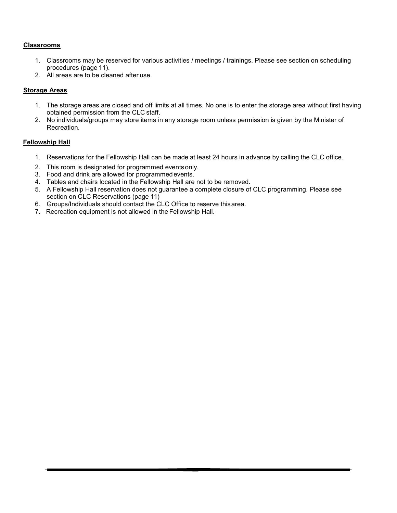#### **Classrooms**

- 1. Classrooms may be reserved for various activities / meetings / trainings. Please see section on scheduling procedures (page 11).
- 2. All areas are to be cleaned after use.

#### **Storage Areas**

- 1. The storage areas are closed and off limits at all times. No one is to enter the storage area without first having obtained permission from the CLC staff.
- 2. No individuals/groups may store items in any storage room unless permission is given by the Minister of Recreation.

#### **Fellowship Hall**

- 1. Reservations for the Fellowship Hall can be made at least 24 hours in advance by calling the CLC office.
- 2. This room is designated for programmed eventsonly.
- 3. Food and drink are allowed for programmedevents.
- 4. Tables and chairs located in the Fellowship Hall are not to be removed.
- 5. A Fellowship Hall reservation does not guarantee a complete closure of CLC programming. Please see section on CLC Reservations (page 11)
- 6. Groups/Individuals should contact the CLC Office to reserve thisarea.
- 7. Recreation equipment is not allowed in the Fellowship Hall.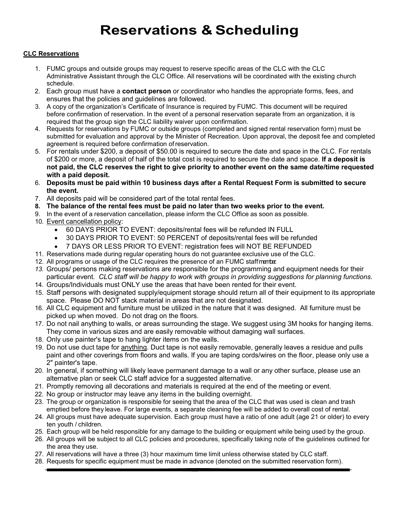# **Reservations & Scheduling**

### <span id="page-12-0"></span>**CLC Reservations**

- 1. FUMC groups and outside groups may request to reserve specific areas of the CLC with the CLC Administrative Assistant through the CLC Office. All reservations will be coordinated with the existing church schedule.
- 2. Each group must have a **contact person** or coordinator who handles the appropriate forms, fees, and ensures that the policies and guidelines are followed.
- 3. A copy of the organization's Certificate of Insurance is required by FUMC. This document will be required before confirmation of reservation. In the event of a personal reservation separate from an organization, it is required that the group sign the CLC liability waiver upon confirmation.
- 4. Requests for reservations by FUMC or outside groups (completed and signed rental reservation form) must be submitted for evaluation and approval by the Minister of Recreation. Upon approval, the deposit fee and completed agreement is required before confirmation ofreservation.
- 5. For rentals under \$200, a deposit of \$50.00 is required to secure the date and space in the CLC. For rentals of \$200 or more, a deposit of half of the total cost is required to secure the date and space. **If a deposit is not paid, the CLC reserves the right to give priority to another event on the same date/time requested with a paid deposit.**
- 6. **Deposits must be paid within 10 business days after a Rental Request Form is submitted to secure the event.**
- 7. All deposits paid will be considered part of the total rental fees.
- **8. The balance of the rental fees must be paid no later than two weeks prior to the event.**
- 9. In the event of a reservation cancellation, please inform the CLC Office as soon as possible.
- 10. Event cancellation policy:
	- 60 DAYS PRIOR TO EVENT: deposits/rental fees will be refunded IN FULL
	- 30 DAYS PRIOR TO EVENT: 50 PERCENT of deposits/rental fees will be refunded
	- 7 DAYS OR LESS PRIOR TO EVENT: registration fees will NOT BE REFUNDED
- 11. Reservations made during regular operating hours do not guarantee exclusive use of the CLC.
- 12. All programs or usage of the CLC requires the presence of an FUMC staffmenter.
- *13.* Groups/ persons making reservations are responsible for the programming and equipment needs for their particular event*. CLC staff will be happy to work with groups in providing suggestions for planning functions.*
- 14. Groups/Individuals must ONLY use the areas that have been rented for their event.
- 15. Staff persons with designated supply/equipment storage should return all of their equipment to its appropriate space. Please DO NOT stack material in areas that are not designated.
- 16. All CLC equipment and furniture must be utilized in the nature that it was designed. All furniture must be picked up when moved. Do not drag on the floors.
- 17. Do not nail anything to walls, or areas surrounding the stage. We suggest using 3M hooks for hanging items. They come in various sizes and are easily removable without damaging wall surfaces.
- 18. Only use painter's tape to hang lighter items on the walls.
- 19. Do not use duct tape for anything. Duct tape is not easily removable, generally leaves a residue and pulls paint and other coverings from floors and walls. If you are taping cords/wires on the floor, please only use a 2" painter's tape.
- 20. In general, if something will likely leave permanent damage to a wall or any other surface, please use an alternative plan or seek CLC staff advice for a suggested alternative.
- 21. Promptly removing all decorations and materials is required at the end of the meeting or event.
- 22. No group or instructor may leave any items in the building overnight.
- 23. The group or organization is responsible for seeing that the area of the CLC that was used is clean and trash emptied before they leave. For large events, a separate cleaning fee will be added to overall cost of rental.
- 24. All groups must have adequate supervision. Each group must have a ratio of one adult (age 21 or older) to every ten youth / children.
- 25. Each group will be held responsible for any damage to the building or equipment while being used by the group.
- 26. All groups will be subject to all CLC policies and procedures, specifically taking note of the guidelines outlined for the area they use.
- 27. All reservations will have a three (3) hour maximum time limit unless otherwise stated by CLC staff.
- 28. Requests for specific equipment must be made in advance (denoted on the submitted reservation form).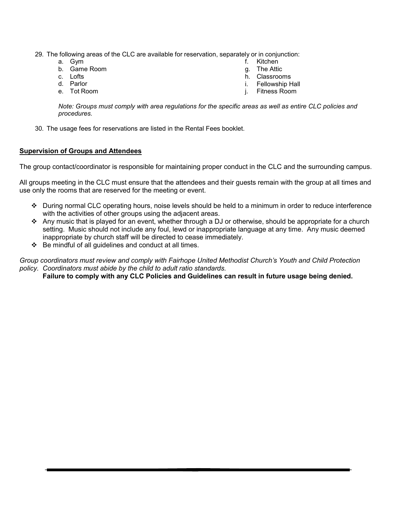- 29. The following areas of the CLC are available for reservation, separately or in conjunction:
	- a. Gym
	- b. Game Room c. Lofts
	- d. Parlor
	- e. Tot Room
- f. Kitchen
- g. The Attic
- h. Classrooms
- i. Fellowship Hall
- j. Fitness Room

*Note: Groups must comply with area regulations for the specific areas as well as entire CLC policies and procedures.*

30. The usage fees for reservations are listed in the Rental Fees booklet.

### **Supervision of Groups and Attendees**

The group contact/coordinator is responsible for maintaining proper conduct in the CLC and the surrounding campus.

All groups meeting in the CLC must ensure that the attendees and their guests remain with the group at all times and use only the rooms that are reserved for the meeting or event.

- During normal CLC operating hours, noise levels should be held to a minimum in order to reduce interference with the activities of other groups using the adjacent areas.
- Any music that is played for an event, whether through a DJ or otherwise, should be appropriate for a church setting. Music should not include any foul, lewd or inappropriate language at any time. Any music deemed inappropriate by church staff will be directed to cease immediately.
- $\div$  Be mindful of all guidelines and conduct at all times.

*Group coordinators must review and comply with Fairhope United Methodist Church's Youth and Child Protection policy. Coordinators must abide by the child to adult ratio standards.*

**Failure to comply with any CLC Policies and Guidelines can result in future usage being denied.**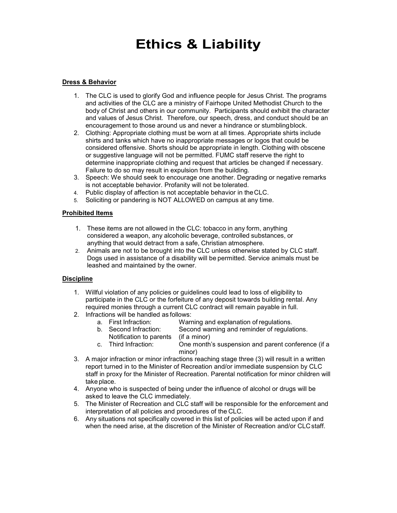# **Ethics & Liability**

#### **Dress & Behavior**

- 1. The CLC is used to glorify God and influence people for Jesus Christ. The programs and activities of the CLC are a ministry of Fairhope United Methodist Church to the body of Christ and others in our community. Participants should exhibit the character and values of Jesus Christ. Therefore, our speech, dress, and conduct should be an encouragement to those around us and never a hindrance or stumblingblock.
- 2. Clothing: Appropriate clothing must be worn at all times. Appropriate shirts include shirts and tanks which have no inappropriate messages or logos that could be considered offensive. Shorts should be appropriate in length. Clothing with obscene or suggestive language will not be permitted. FUMC staff reserve the right to determine inappropriate clothing and request that articles be changed if necessary. Failure to do so may result in expulsion from the building.
- 3. Speech: We should seek to encourage one another. Degrading or negative remarks is not acceptable behavior. Profanity will not be tolerated.
- 4. Public display of affection is not acceptable behavior in theCLC.
- 5. Soliciting or pandering is NOT ALLOWED on campus at any time.

#### **Prohibited Items**

- 1. These items are not allowed in the CLC: tobacco in any form, anything considered a weapon, any alcoholic beverage, controlled substances, or anything that would detract from a safe, Christian atmosphere.
- 2. Animals are not to be brought into the CLC unless otherwise stated by CLC staff. Dogs used in assistance of a disability will be permitted. Service animals must be leashed and maintained by the owner.

#### **Discipline**

- 1. Willful violation of any policies or guidelines could lead to loss of eligibility to participate in the CLC or the forfeiture of any deposit towards building rental. Any required monies through a current CLC contract will remain payable in full.
- 2. Infractions will be handled as follows:
	- a. First Infraction: Warning and explanation of regulations.
	- b. Second Infraction: Second warning and reminder of regulations. Notification to parents (if a minor)<br>C. Third Infraction: Che month
	- One month's suspension and parent conference (if a minor)
- 3. A major infraction or minor infractions reaching stage three (3) will result in a written report turned in to the Minister of Recreation and/or immediate suspension by CLC staff in proxy for the Minister of Recreation. Parental notification for minor children will take place.
- 4. Anyone who is suspected of being under the influence of alcohol or drugs will be asked to leave the CLC immediately.
- 5. The Minister of Recreation and CLC staff will be responsible for the enforcement and interpretation of all policies and procedures of the CLC.
- 6. Any situations not specifically covered in this list of policies will be acted upon if and when the need arise, at the discretion of the Minister of Recreation and/or CLCstaff.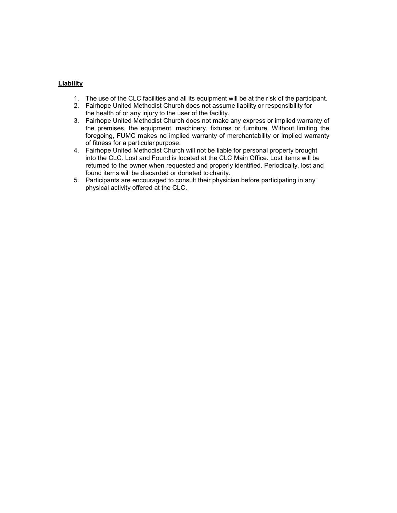#### **Liability**

- 1. The use of the CLC facilities and all its equipment will be at the risk of the participant.
- 2. Fairhope United Methodist Church does not assume liability or responsibility for the health of or any injury to the user of the facility.
- 3. Fairhope United Methodist Church does not make any express or implied warranty of the premises, the equipment, machinery, fixtures or furniture. Without limiting the foregoing, FUMC makes no implied warranty of merchantability or implied warranty of fitness for a particular purpose.
- 4. Fairhope United Methodist Church will not be liable for personal property brought into the CLC. Lost and Found is located at the CLC Main Office. Lost items will be returned to the owner when requested and properly identified. Periodically, lost and found items will be discarded or donated tocharity.
- 5. Participants are encouraged to consult their physician before participating in any physical activity offered at the CLC.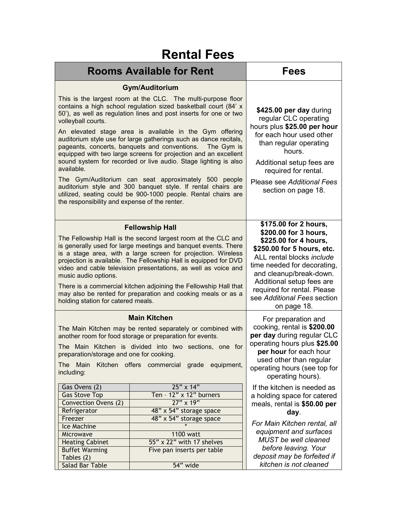# **Rental Fees**

| <b>Rooms Available for Rent</b>                                                                                                                                                                                                                                                                                                                                                                                                                                                                                                                                    | <b>Fees</b>                                                                                                                                                                                                                                                                                            |                                                                                                                                                                                                                                             |
|--------------------------------------------------------------------------------------------------------------------------------------------------------------------------------------------------------------------------------------------------------------------------------------------------------------------------------------------------------------------------------------------------------------------------------------------------------------------------------------------------------------------------------------------------------------------|--------------------------------------------------------------------------------------------------------------------------------------------------------------------------------------------------------------------------------------------------------------------------------------------------------|---------------------------------------------------------------------------------------------------------------------------------------------------------------------------------------------------------------------------------------------|
|                                                                                                                                                                                                                                                                                                                                                                                                                                                                                                                                                                    | <b>Gym/Auditorium</b>                                                                                                                                                                                                                                                                                  |                                                                                                                                                                                                                                             |
| This is the largest room at the CLC. The multi-purpose floor<br>contains a high school regulation sized basketball court (84' x<br>50'), as well as regulation lines and post inserts for one or two<br>volleyball courts.<br>An elevated stage area is available in the Gym offering<br>auditorium style use for large gatherings such as dance recitals,<br>pageants, concerts, banquets and conventions.<br>equipped with two large screens for projection and an excellent<br>sound system for recorded or live audio. Stage lighting is also<br>available.    | \$425.00 per day during<br>regular CLC operating<br>hours plus \$25.00 per hour<br>for each hour used other<br>than regular operating<br>hours.<br>Additional setup fees are<br>required for rental.                                                                                                   |                                                                                                                                                                                                                                             |
| The Gym/Auditorium can seat approximately 500 people<br>auditorium style and 300 banquet style. If rental chairs are<br>utilized, seating could be 900-1000 people. Rental chairs are<br>the responsibility and expense of the renter.                                                                                                                                                                                                                                                                                                                             | Please see Additional Fees<br>section on page 18.                                                                                                                                                                                                                                                      |                                                                                                                                                                                                                                             |
| <b>Fellowship Hall</b><br>The Fellowship Hall is the second largest room at the CLC and<br>is generally used for large meetings and banquet events. There<br>is a stage area, with a large screen for projection. Wireless<br>projection is available. The Fellowship Hall is equipped for DVD<br>video and cable television presentations, as well as voice and<br>music audio options.<br>There is a commercial kitchen adjoining the Fellowship Hall that<br>may also be rented for preparation and cooking meals or as a<br>holding station for catered meals. | \$175.00 for 2 hours,<br>\$200.00 for 3 hours,<br>\$225.00 for 4 hours,<br>\$250.00 for 5 hours, etc.<br>ALL rental blocks include<br>time needed for decorating,<br>and cleanup/break-down.<br>Additional setup fees are<br>required for rental. Please<br>see Additional Fees section<br>on page 18. |                                                                                                                                                                                                                                             |
| <b>Main Kitchen</b><br>The Main Kitchen may be rented separately or combined with<br>another room for food storage or preparation for events.<br>The Main Kitchen is divided into two sections, one for<br>preparation/storage and one for cooking.<br><b>The</b><br>Main<br>Kitchen offers commercial grade equipment,<br>including:                                                                                                                                                                                                                              | For preparation and<br>cooking, rental is \$200.00<br>per day during regular CLC<br>operating hours plus \$25.00<br>per hour for each hour<br>used other than regular<br>operating hours (see top for<br>operating hours).                                                                             |                                                                                                                                                                                                                                             |
| Gas Ovens (2)<br><b>Gas Stove Top</b><br>Convection Ovens (2)<br>Refrigerator<br>Freezer<br>Ice Machine<br>Microwave<br><b>Heating Cabinet</b><br><b>Buffet Warming</b><br>Tables (2)                                                                                                                                                                                                                                                                                                                                                                              | $25'' \times 14''$<br>Ten - 12" x 12" burners<br>$27'' \times 19''$<br>48" x 54" storage space<br>48" x 54" storage space<br>1100 watt<br>55" x 22" with 17 shelves<br>Five pan inserts per table                                                                                                      | If the kitchen is needed as<br>a holding space for catered<br>meals, rental is \$50.00 per<br>day.<br>For Main Kitchen rental, all<br>equipment and surfaces<br>MUST be well cleaned<br>before leaving. Your<br>deposit may be forfeited if |
| Salad Bar Table                                                                                                                                                                                                                                                                                                                                                                                                                                                                                                                                                    | 54" wide                                                                                                                                                                                                                                                                                               | kitchen is not cleaned                                                                                                                                                                                                                      |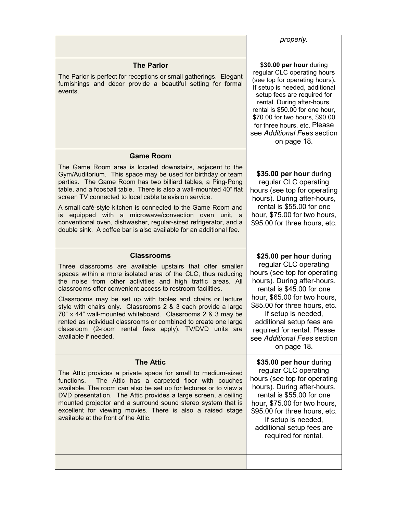|                                                                                                                                                                                                                                                                                                                                                                                                                                                                                                                                                                                                           | properly.                                                                                                                                                                                                                                                                                                                                   |
|-----------------------------------------------------------------------------------------------------------------------------------------------------------------------------------------------------------------------------------------------------------------------------------------------------------------------------------------------------------------------------------------------------------------------------------------------------------------------------------------------------------------------------------------------------------------------------------------------------------|---------------------------------------------------------------------------------------------------------------------------------------------------------------------------------------------------------------------------------------------------------------------------------------------------------------------------------------------|
| <b>The Parlor</b><br>The Parlor is perfect for receptions or small gatherings. Elegant<br>furnishings and décor provide a beautiful setting for formal<br>events.                                                                                                                                                                                                                                                                                                                                                                                                                                         | \$30.00 per hour during<br>regular CLC operating hours<br>(see top for operating hours).<br>If setup is needed, additional<br>setup fees are required for<br>rental. During after-hours,<br>rental is \$50.00 for one hour,<br>\$70.00 for two hours, \$90.00<br>for three hours, etc. Please<br>see Additional Fees section<br>on page 18. |
| <b>Game Room</b>                                                                                                                                                                                                                                                                                                                                                                                                                                                                                                                                                                                          |                                                                                                                                                                                                                                                                                                                                             |
| The Game Room area is located downstairs, adjacent to the<br>Gym/Auditorium. This space may be used for birthday or team<br>parties. The Game Room has two billiard tables, a Ping-Pong<br>table, and a foosball table. There is also a wall-mounted 40" flat<br>screen TV connected to local cable television service.<br>A small café-style kitchen is connected to the Game Room and<br>equipped with a microwave/convection oven unit, a<br>is<br>conventional oven, dishwasher, regular-sized refrigerator, and a<br>double sink. A coffee bar is also available for an additional fee.              | \$35.00 per hour during<br>regular CLC operating<br>hours (see top for operating<br>hours). During after-hours,<br>rental is \$55.00 for one<br>hour, \$75.00 for two hours,<br>\$95.00 for three hours, etc.                                                                                                                               |
| <b>Classrooms</b>                                                                                                                                                                                                                                                                                                                                                                                                                                                                                                                                                                                         | \$25.00 per hour during                                                                                                                                                                                                                                                                                                                     |
| Three classrooms are available upstairs that offer smaller<br>spaces within a more isolated area of the CLC, thus reducing<br>the noise from other activities and high traffic areas. All<br>classrooms offer convenient access to restroom facilities.<br>Classrooms may be set up with tables and chairs or lecture<br>style with chairs only. Classrooms 2 & 3 each provide a large<br>70" x 44" wall-mounted whiteboard. Classrooms 2 & 3 may be<br>rented as individual classrooms or combined to create one large<br>classroom (2-room rental fees apply). TV/DVD units are<br>available if needed. | regular CLC operating<br>hours (see top for operating<br>hours). During after-hours,<br>rental is \$45.00 for one<br>hour, \$65.00 for two hours,<br>\$85.00 for three hours, etc.<br>If setup is needed,<br>additional setup fees are<br>required for rental. Please<br>see Additional Fees section<br>on page 18.                         |
| <b>The Attic</b>                                                                                                                                                                                                                                                                                                                                                                                                                                                                                                                                                                                          | \$35.00 per hour during                                                                                                                                                                                                                                                                                                                     |
| The Attic provides a private space for small to medium-sized<br>The Attic has a carpeted floor with couches<br>functions.<br>available. The room can also be set up for lectures or to view a<br>DVD presentation. The Attic provides a large screen, a ceiling<br>mounted projector and a surround sound stereo system that is<br>excellent for viewing movies. There is also a raised stage<br>available at the front of the Attic.                                                                                                                                                                     | regular CLC operating<br>hours (see top for operating<br>hours). During after-hours,<br>rental is \$55.00 for one<br>hour, \$75.00 for two hours,<br>\$95.00 for three hours, etc.<br>If setup is needed,<br>additional setup fees are<br>required for rental.                                                                              |
|                                                                                                                                                                                                                                                                                                                                                                                                                                                                                                                                                                                                           |                                                                                                                                                                                                                                                                                                                                             |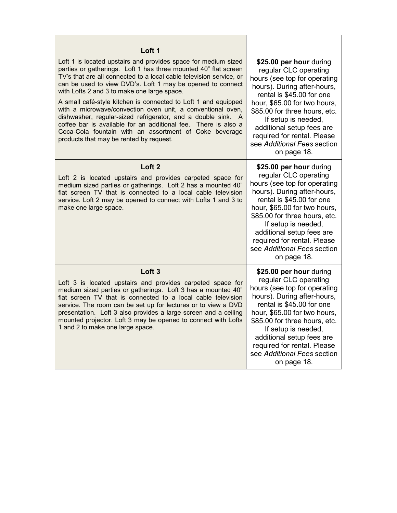| Loft <sub>1</sub>                                                                                                                                                                                                                                                                                                                                                                                                                                                                                                                                                                                                                                                                             |                                                                                                                                                                                                                                                                                                                                                |
|-----------------------------------------------------------------------------------------------------------------------------------------------------------------------------------------------------------------------------------------------------------------------------------------------------------------------------------------------------------------------------------------------------------------------------------------------------------------------------------------------------------------------------------------------------------------------------------------------------------------------------------------------------------------------------------------------|------------------------------------------------------------------------------------------------------------------------------------------------------------------------------------------------------------------------------------------------------------------------------------------------------------------------------------------------|
| Loft 1 is located upstairs and provides space for medium sized<br>parties or gatherings. Loft 1 has three mounted 40" flat screen<br>TV's that are all connected to a local cable television service, or<br>can be used to view DVD's. Loft 1 may be opened to connect<br>with Lofts 2 and 3 to make one large space.<br>A small café-style kitchen is connected to Loft 1 and equipped<br>with a microwave/convection oven unit, a conventional oven,<br>dishwasher, regular-sized refrigerator, and a double sink. A<br>coffee bar is available for an additional fee. There is also a<br>Coca-Cola fountain with an assortment of Coke beverage<br>products that may be rented by request. | \$25.00 per hour during<br>regular CLC operating<br>hours (see top for operating<br>hours). During after-hours,<br>rental is \$45.00 for one<br>hour, \$65.00 for two hours,<br>\$85.00 for three hours, etc.<br>If setup is needed,<br>additional setup fees are<br>required for rental. Please<br>see Additional Fees section<br>on page 18. |
| Loft <sub>2</sub><br>Loft 2 is located upstairs and provides carpeted space for<br>medium sized parties or gatherings. Loft 2 has a mounted 40"<br>flat screen TV that is connected to a local cable television<br>service. Loft 2 may be opened to connect with Lofts 1 and 3 to<br>make one large space.                                                                                                                                                                                                                                                                                                                                                                                    | \$25.00 per hour during<br>regular CLC operating<br>hours (see top for operating<br>hours). During after-hours,<br>rental is \$45.00 for one<br>hour, \$65.00 for two hours,<br>\$85.00 for three hours, etc.<br>If setup is needed,<br>additional setup fees are<br>required for rental. Please<br>see Additional Fees section<br>on page 18. |
| Loft <sub>3</sub><br>Loft 3 is located upstairs and provides carpeted space for<br>medium sized parties or gatherings. Loft 3 has a mounted 40"<br>flat screen TV that is connected to a local cable television<br>service. The room can be set up for lectures or to view a DVD<br>presentation. Loft 3 also provides a large screen and a ceiling<br>mounted projector. Loft 3 may be opened to connect with Lofts<br>1 and 2 to make one large space.                                                                                                                                                                                                                                      | \$25.00 per hour during<br>regular CLC operating<br>hours (see top for operating<br>hours). During after-hours,<br>rental is \$45.00 for one<br>hour, \$65.00 for two hours,<br>\$85.00 for three hours, etc.<br>If setup is needed,<br>additional setup fees are<br>required for rental. Please<br>see Additional Fees section<br>on page 18. |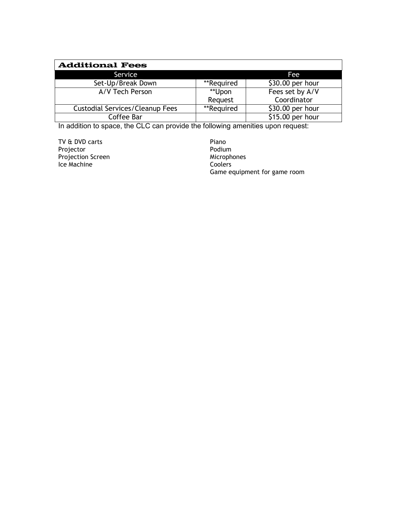| <b>Additional Fees</b>                 |            |                  |
|----------------------------------------|------------|------------------|
| Service                                |            | Fee              |
| Set-Up/Break Down                      | **Required | \$30.00 per hour |
| A/V Tech Person                        | **Upon     | Fees set by A/V  |
|                                        | Request    | Coordinator      |
| <b>Custodial Services/Cleanup Fees</b> | **Required | \$30.00 per hour |
| Coffee Bar                             |            | \$15.00 per hour |

In addition to space, the CLC can provide the following amenities upon request:

TV & DVD carts Projector Projection Screen Ice Machine

Piano Podium Microphones Coolers Game equipment for game room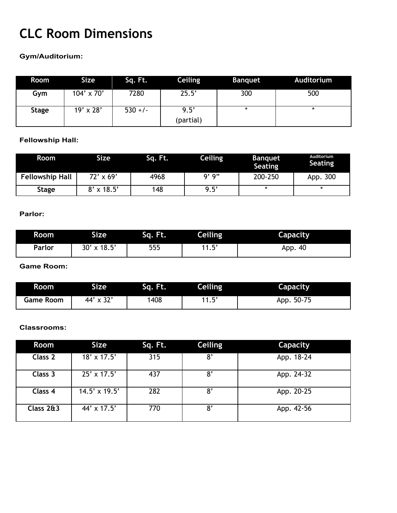# **CLC Room Dimensions**

## **Gym/Auditorium:**

| Room         | <b>Size</b>       | Sq. Ft.   | <b>Ceiling</b>    | <b>Banquet</b> | Auditorium |
|--------------|-------------------|-----------|-------------------|----------------|------------|
| Gym          | $104' \times 70'$ | 7280      | 25.5'             | 300            | 500        |
| <b>Stage</b> | $19' \times 28'$  | $530 +/-$ | 9.5'<br>(partial) |                | ∗          |

**Fellowship Hall:**

| Room                   | <b>Size</b>       | Sq. Ft. | <b>Ceiling</b> | <b>Banquet</b><br><b>Seating</b> | Auditorium<br><b>Seating</b> |
|------------------------|-------------------|---------|----------------|----------------------------------|------------------------------|
| <b>Fellowship Hall</b> | 72' x 69'         | 4968    | Q'Q''          | 200-250                          | App. 300                     |
| Stage                  | $8' \times 18.5'$ | 148     | 9.5'           | $\ast$                           | $\star$                      |

### **Parlor:**

| <b>Room</b> | <b>Size</b>        | Sq. Ft. | <b>Ceiling</b> | <b>Capacity</b> |
|-------------|--------------------|---------|----------------|-----------------|
| Parlor      | $30' \times 18.5'$ | 555     | 長り<br>11<br>ر  | App. 40         |

**Game Room:**

| <b>Room</b> | <b>Size</b>      | Sq. Ft. | <b>Ceiling</b> | <b>Capacity</b> |
|-------------|------------------|---------|----------------|-----------------|
| Game Room   | $44' \times 32'$ | 408     | に,<br>11       | App. 50-75      |

### **Classrooms:**

| Room        | <b>Size</b>          | Sq. Ft. | <b>Ceiling</b> | Capacity   |
|-------------|----------------------|---------|----------------|------------|
| Class 2     | $18' \times 17.5'$   | 315     | 8'             | App. 18-24 |
| Class 3     | $25' \times 17.5'$   | 437     | 8'             | App. 24-32 |
| Class 4     | $14.5' \times 19.5'$ | 282     | 8'             | App. 20-25 |
| Class $263$ | 44' x 17.5'          | 770     | 8'             | App. 42-56 |